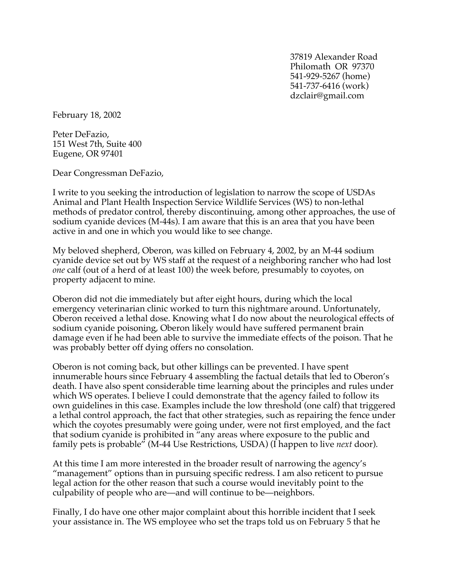37819 Alexander Road Philomath OR 97370 541-929-5267 (home) 541-737-6416 (work) dzclair@gmail.com

February 18, 2002

Peter DeFazio, 151 West 7th, Suite 400 Eugene, OR 97401

Dear Congressman DeFazio,

I write to you seeking the introduction of legislation to narrow the scope of USDAs Animal and Plant Health Inspection Service Wildlife Services (WS) to non-lethal methods of predator control, thereby discontinuing, among other approaches, the use of sodium cyanide devices (M-44s). I am aware that this is an area that you have been active in and one in which you would like to see change.

My beloved shepherd, Oberon, was killed on February 4, 2002, by an M-44 sodium cyanide device set out by WS staff at the request of a neighboring rancher who had lost *one* calf (out of a herd of at least 100) the week before, presumably to coyotes, on property adjacent to mine.

Oberon did not die immediately but after eight hours, during which the local emergency veterinarian clinic worked to turn this nightmare around. Unfortunately, Oberon received a lethal dose. Knowing what I do now about the neurological effects of sodium cyanide poisoning, Oberon likely would have suffered permanent brain damage even if he had been able to survive the immediate effects of the poison. That he was probably better off dying offers no consolation.

Oberon is not coming back, but other killings can be prevented. I have spent innumerable hours since February 4 assembling the factual details that led to Oberon's death. I have also spent considerable time learning about the principles and rules under which WS operates. I believe I could demonstrate that the agency failed to follow its own guidelines in this case. Examples include the low threshold (one calf) that triggered a lethal control approach, the fact that other strategies, such as repairing the fence under which the coyotes presumably were going under, were not first employed, and the fact that sodium cyanide is prohibited in "any areas where exposure to the public and family pets is probable" (M-44 Use Restrictions, USDA) (I happen to live *next* door).

At this time I am more interested in the broader result of narrowing the agency's "management" options than in pursuing specific redress. I am also reticent to pursue legal action for the other reason that such a course would inevitably point to the culpability of people who are—and will continue to be—neighbors.

Finally, I do have one other major complaint about this horrible incident that I seek your assistance in. The WS employee who set the traps told us on February 5 that he